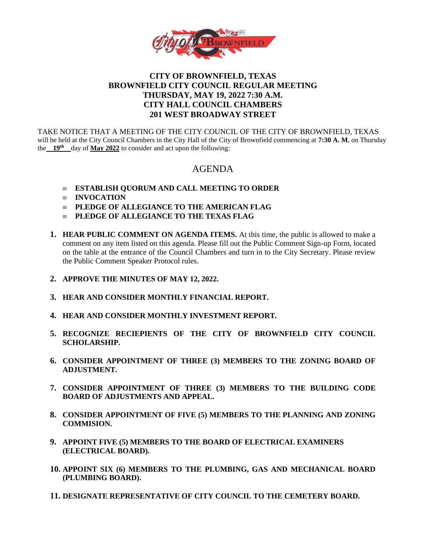

# **CITY OF BROWNFIELD, TEXAS BROWNFIELD CITY COUNCIL REGULAR MEETING THURSDAY, MAY 19, 2022 7:30 A.M. CITY HALL COUNCIL CHAMBERS 201 WEST BROADWAY STREET**

TAKE NOTICE THAT A MEETING OF THE CITY COUNCIL OF THE CITY OF BROWNFIELD, TEXAS will be held at the City Council Chambers in the City Hall of the City of Brownfield commencing at **7:30 A. M.** on Thursday the  $19^{\text{th}}$  day of May 2022 to consider and act upon the following:

# AGENDA

- **ESTABLISH QUORUM AND CALL MEETING TO ORDER**
- $\equiv$  **INVOCATION**
- **PLEDGE OF ALLEGIANCE TO THE AMERICAN FLAG**
- **PLEDGE OF ALLEGIANCE TO THE TEXAS FLAG**
- **1. HEAR PUBLIC COMMENT ON AGENDA ITEMS.** At this time, the public is allowed to make a comment on any item listed on this agenda. Please fill out the Public Comment Sign-up Form, located on the table at the entrance of the Council Chambers and turn in to the City Secretary. Please review the Public Comment Speaker Protocol rules.
- **2. APPROVE THE MINUTES OF MAY 12, 2022.**
- **3. HEAR AND CONSIDER MONTHLY FINANCIAL REPORT.**
- **4. HEAR AND CONSIDER MONTHLY INVESTMENT REPORT.**
- **5. RECOGNIZE RECIEPIENTS OF THE CITY OF BROWNFIELD CITY COUNCIL SCHOLARSHIP.**
- **6. CONSIDER APPOINTMENT OF THREE (3) MEMBERS TO THE ZONING BOARD OF ADJUSTMENT.**
- **7. CONSIDER APPOINTMENT OF THREE (3) MEMBERS TO THE BUILDING CODE BOARD OF ADJUSTMENTS AND APPEAL.**
- **8. CONSIDER APPOINTMENT OF FIVE (5) MEMBERS TO THE PLANNING AND ZONING COMMISION.**
- **9. APPOINT FIVE (5) MEMBERS TO THE BOARD OF ELECTRICAL EXAMINERS (ELECTRICAL BOARD).**
- **10. APPOINT SIX (6) MEMBERS TO THE PLUMBING, GAS AND MECHANICAL BOARD (PLUMBING BOARD).**
- **11. DESIGNATE REPRESENTATIVE OF CITY COUNCIL TO THE CEMETERY BOARD.**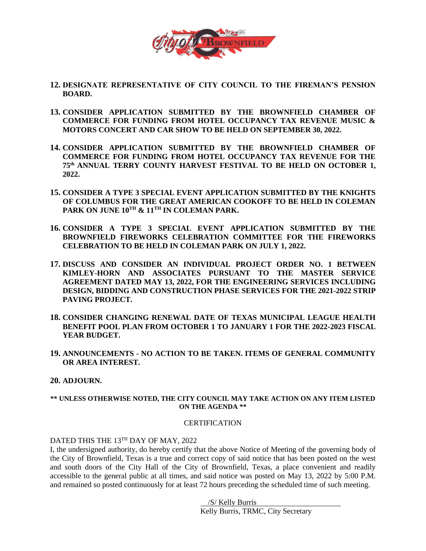

- **12. DESIGNATE REPRESENTATIVE OF CITY COUNCIL TO THE FIREMAN'S PENSION BOARD.**
- **13. CONSIDER APPLICATION SUBMITTED BY THE BROWNFIELD CHAMBER OF COMMERCE FOR FUNDING FROM HOTEL OCCUPANCY TAX REVENUE MUSIC & MOTORS CONCERT AND CAR SHOW TO BE HELD ON SEPTEMBER 30, 2022.**
- **14. CONSIDER APPLICATION SUBMITTED BY THE BROWNFIELD CHAMBER OF COMMERCE FOR FUNDING FROM HOTEL OCCUPANCY TAX REVENUE FOR THE 75 th ANNUAL TERRY COUNTY HARVEST FESTIVAL TO BE HELD ON OCTOBER 1, 2022.**
- **15. CONSIDER A TYPE 3 SPECIAL EVENT APPLICATION SUBMITTED BY THE KNIGHTS OF COLUMBUS FOR THE GREAT AMERICAN COOKOFF TO BE HELD IN COLEMAN PARK ON JUNE 10TH & 11TH IN COLEMAN PARK.**
- **16. CONSIDER A TYPE 3 SPECIAL EVENT APPLICATION SUBMITTED BY THE BROWNFIELD FIREWORKS CELEBRATION COMMITTEE FOR THE FIREWORKS CELEBRATION TO BE HELD IN COLEMAN PARK ON JULY 1, 2022.**
- **17. DISCUSS AND CONSIDER AN INDIVIDUAL PROJECT ORDER NO. 1 BETWEEN KIMLEY-HORN AND ASSOCIATES PURSUANT TO THE MASTER SERVICE AGREEMENT DATED MAY 13, 2022, FOR THE ENGINEERING SERVICES INCLUDING DESIGN, BIDDING AND CONSTRUCTION PHASE SERVICES FOR THE 2021-2022 STRIP PAVING PROJECT.**
- **18. CONSIDER CHANGING RENEWAL DATE OF TEXAS MUNICIPAL LEAGUE HEALTH BENEFIT POOL PLAN FROM OCTOBER 1 TO JANUARY 1 FOR THE 2022-2023 FISCAL YEAR BUDGET.**
- **19. ANNOUNCEMENTS - NO ACTION TO BE TAKEN. ITEMS OF GENERAL COMMUNITY OR AREA INTEREST.**

### **20. ADJOURN.**

#### **\*\* UNLESS OTHERWISE NOTED, THE CITY COUNCIL MAY TAKE ACTION ON ANY ITEM LISTED ON THE AGENDA \*\***

#### **CERTIFICATION**

## DATED THIS THE 13TH DAY OF MAY, 2022

I, the undersigned authority, do hereby certify that the above Notice of Meeting of the governing body of the City of Brownfield, Texas is a true and correct copy of said notice that has been posted on the west and south doors of the City Hall of the City of Brownfield, Texas, a place convenient and readily accessible to the general public at all times, and said notice was posted on May 13, 2022 by 5:00 P.M. and remained so posted continuously for at least 72 hours preceding the scheduled time of such meeting.

> /S/ Kelly Burris . Kelly Burris, TRMC, City Secretary